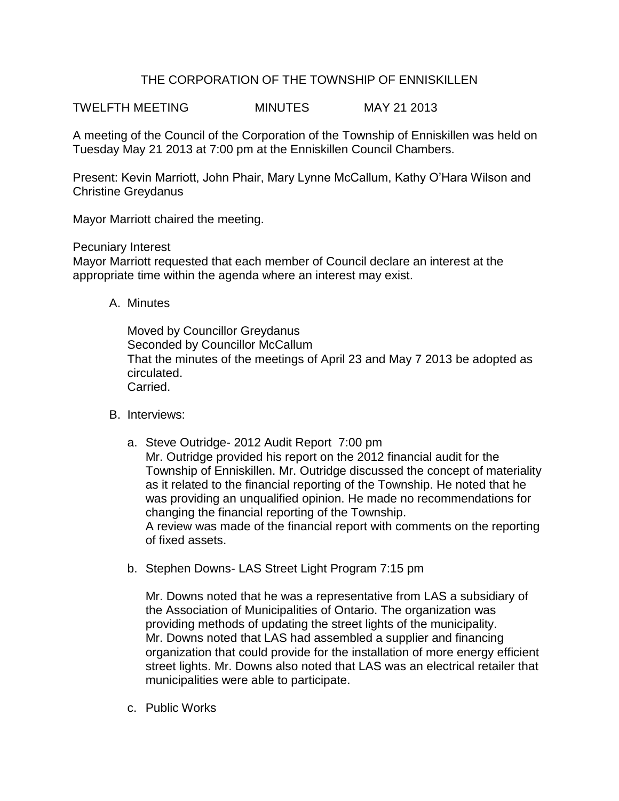## THE CORPORATION OF THE TOWNSHIP OF ENNISKILLEN

TWELFTH MEETING MINUTES MAY 21 2013

A meeting of the Council of the Corporation of the Township of Enniskillen was held on Tuesday May 21 2013 at 7:00 pm at the Enniskillen Council Chambers.

Present: Kevin Marriott, John Phair, Mary Lynne McCallum, Kathy O'Hara Wilson and Christine Greydanus

Mayor Marriott chaired the meeting.

Pecuniary Interest

Mayor Marriott requested that each member of Council declare an interest at the appropriate time within the agenda where an interest may exist.

A. Minutes

Moved by Councillor Greydanus Seconded by Councillor McCallum That the minutes of the meetings of April 23 and May 7 2013 be adopted as circulated. Carried.

- B. Interviews:
	- a. Steve Outridge- 2012 Audit Report 7:00 pm Mr. Outridge provided his report on the 2012 financial audit for the Township of Enniskillen. Mr. Outridge discussed the concept of materiality as it related to the financial reporting of the Township. He noted that he was providing an unqualified opinion. He made no recommendations for changing the financial reporting of the Township. A review was made of the financial report with comments on the reporting of fixed assets.
	- b. Stephen Downs- LAS Street Light Program 7:15 pm

Mr. Downs noted that he was a representative from LAS a subsidiary of the Association of Municipalities of Ontario. The organization was providing methods of updating the street lights of the municipality. Mr. Downs noted that LAS had assembled a supplier and financing organization that could provide for the installation of more energy efficient street lights. Mr. Downs also noted that LAS was an electrical retailer that municipalities were able to participate.

c. Public Works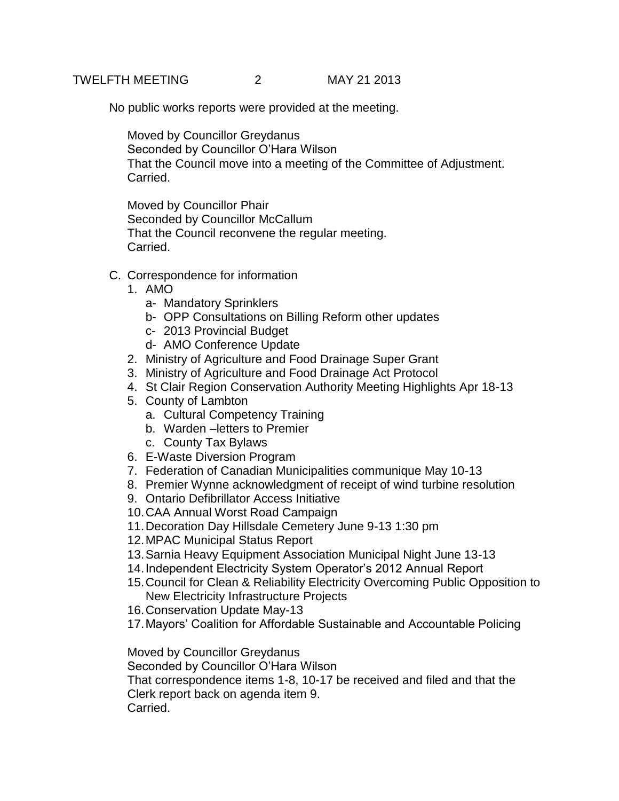No public works reports were provided at the meeting.

Moved by Councillor Greydanus Seconded by Councillor O'Hara Wilson That the Council move into a meeting of the Committee of Adjustment. Carried.

Moved by Councillor Phair Seconded by Councillor McCallum That the Council reconvene the regular meeting. Carried.

- C. Correspondence for information
	- 1. AMO
		- a- Mandatory Sprinklers
		- b- OPP Consultations on Billing Reform other updates
		- c- 2013 Provincial Budget
		- d- AMO Conference Update
	- 2. Ministry of Agriculture and Food Drainage Super Grant
	- 3. Ministry of Agriculture and Food Drainage Act Protocol
	- 4. St Clair Region Conservation Authority Meeting Highlights Apr 18-13
	- 5. County of Lambton
		- a. Cultural Competency Training
		- b. Warden –letters to Premier
		- c. County Tax Bylaws
	- 6. E-Waste Diversion Program
	- 7. Federation of Canadian Municipalities communique May 10-13
	- 8. Premier Wynne acknowledgment of receipt of wind turbine resolution
	- 9. Ontario Defibrillator Access Initiative
	- 10.CAA Annual Worst Road Campaign
	- 11.Decoration Day Hillsdale Cemetery June 9-13 1:30 pm
	- 12.MPAC Municipal Status Report
	- 13.Sarnia Heavy Equipment Association Municipal Night June 13-13
	- 14.Independent Electricity System Operator's 2012 Annual Report
	- 15.Council for Clean & Reliability Electricity Overcoming Public Opposition to New Electricity Infrastructure Projects
	- 16.Conservation Update May-13
	- 17.Mayors' Coalition for Affordable Sustainable and Accountable Policing

Moved by Councillor Greydanus

Seconded by Councillor O'Hara Wilson

That correspondence items 1-8, 10-17 be received and filed and that the Clerk report back on agenda item 9.

Carried.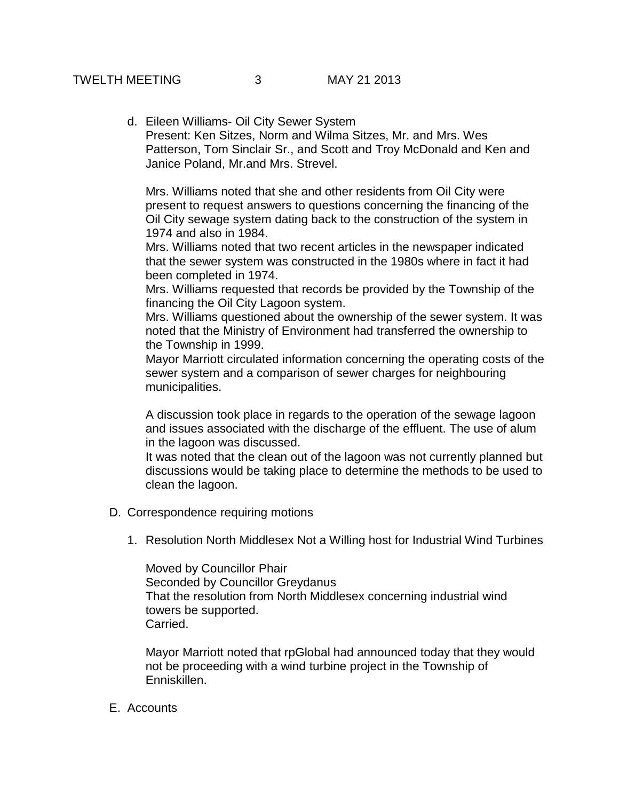d. Eileen Williams- Oil City Sewer System Present: Ken Sitzes, Norm and Wilma Sitzes, Mr. and Mrs. Wes Patterson, Tom Sinclair Sr., and Scott and Troy McDonald and Ken and Janice Poland, Mr.and Mrs. Strevel.

Mrs. Williams noted that she and other residents from Oil City were present to request answers to questions concerning the financing of the Oil City sewage system dating back to the construction of the system in 1974 and also in 1984.

Mrs. Williams noted that two recent articles in the newspaper indicated that the sewer system was constructed in the 1980s where in fact it had been completed in 1974.

Mrs. Williams requested that records be provided by the Township of the financing the Oil City Lagoon system.

Mrs. Williams questioned about the ownership of the sewer system. It was noted that the Ministry of Environment had transferred the ownership to the Township in 1999.

Mayor Marriott circulated information concerning the operating costs of the sewer system and a comparison of sewer charges for neighbouring municipalities.

A discussion took place in regards to the operation of the sewage lagoon and issues associated with the discharge of the effluent. The use of alum in the lagoon was discussed.

It was noted that the clean out of the lagoon was not currently planned but discussions would be taking place to determine the methods to be used to clean the lagoon.

- D. Correspondence requiring motions
	- 1. Resolution North Middlesex Not a Willing host for Industrial Wind Turbines

Moved by Councillor Phair Seconded by Councillor Greydanus That the resolution from North Middlesex concerning industrial wind towers be supported. Carried.

Mayor Marriott noted that rpGlobal had announced today that they would not be proceeding with a wind turbine project in the Township of Enniskillen.

E. Accounts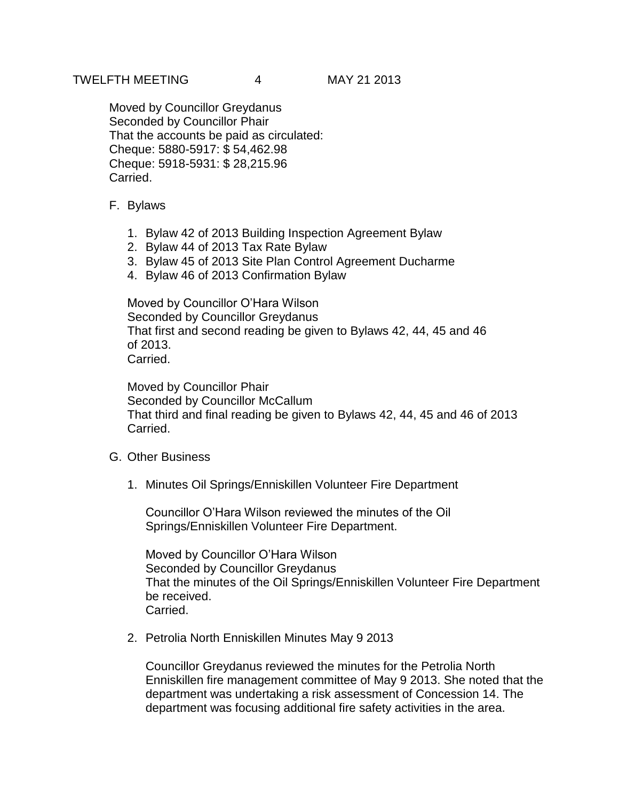Moved by Councillor Greydanus Seconded by Councillor Phair That the accounts be paid as circulated: Cheque: 5880-5917: \$ 54,462.98 Cheque: 5918-5931: \$ 28,215.96 Carried.

- F. Bylaws
	- 1. Bylaw 42 of 2013 Building Inspection Agreement Bylaw
	- 2. Bylaw 44 of 2013 Tax Rate Bylaw
	- 3. Bylaw 45 of 2013 Site Plan Control Agreement Ducharme
	- 4. Bylaw 46 of 2013 Confirmation Bylaw

Moved by Councillor O'Hara Wilson Seconded by Councillor Greydanus That first and second reading be given to Bylaws 42, 44, 45 and 46 of 2013. Carried.

Moved by Councillor Phair Seconded by Councillor McCallum That third and final reading be given to Bylaws 42, 44, 45 and 46 of 2013 Carried.

- G. Other Business
	- 1. Minutes Oil Springs/Enniskillen Volunteer Fire Department

Councillor O'Hara Wilson reviewed the minutes of the Oil Springs/Enniskillen Volunteer Fire Department.

Moved by Councillor O'Hara Wilson Seconded by Councillor Greydanus That the minutes of the Oil Springs/Enniskillen Volunteer Fire Department be received. Carried.

2. Petrolia North Enniskillen Minutes May 9 2013

Councillor Greydanus reviewed the minutes for the Petrolia North Enniskillen fire management committee of May 9 2013. She noted that the department was undertaking a risk assessment of Concession 14. The department was focusing additional fire safety activities in the area.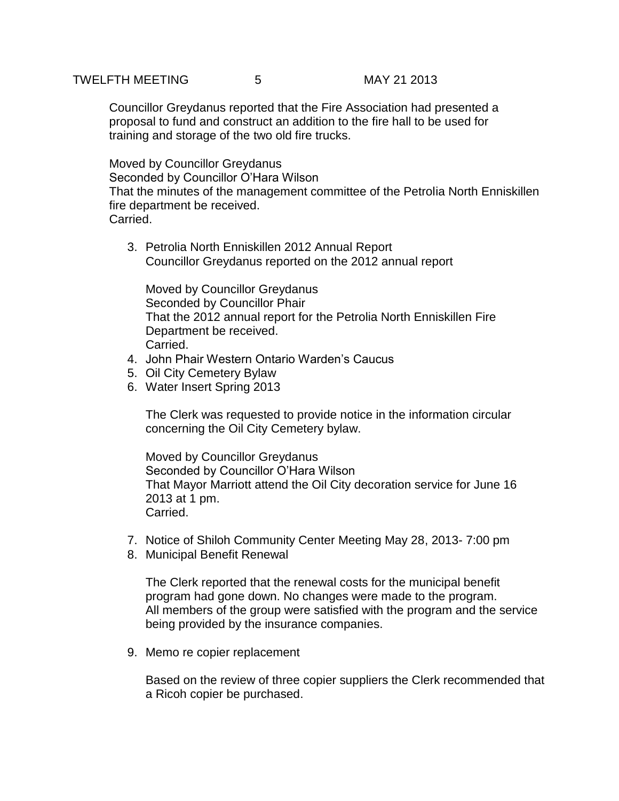Councillor Greydanus reported that the Fire Association had presented a proposal to fund and construct an addition to the fire hall to be used for training and storage of the two old fire trucks.

Moved by Councillor Greydanus Seconded by Councillor O'Hara Wilson That the minutes of the management committee of the Petrolia North Enniskillen fire department be received. Carried.

3. Petrolia North Enniskillen 2012 Annual Report Councillor Greydanus reported on the 2012 annual report

Moved by Councillor Greydanus Seconded by Councillor Phair That the 2012 annual report for the Petrolia North Enniskillen Fire Department be received. Carried.

- 4. John Phair Western Ontario Warden's Caucus
- 5. Oil City Cemetery Bylaw
- 6. Water Insert Spring 2013

The Clerk was requested to provide notice in the information circular concerning the Oil City Cemetery bylaw.

Moved by Councillor Greydanus Seconded by Councillor O'Hara Wilson That Mayor Marriott attend the Oil City decoration service for June 16 2013 at 1 pm. Carried.

- 7. Notice of Shiloh Community Center Meeting May 28, 2013- 7:00 pm
- 8. Municipal Benefit Renewal

The Clerk reported that the renewal costs for the municipal benefit program had gone down. No changes were made to the program. All members of the group were satisfied with the program and the service being provided by the insurance companies.

9. Memo re copier replacement

Based on the review of three copier suppliers the Clerk recommended that a Ricoh copier be purchased.